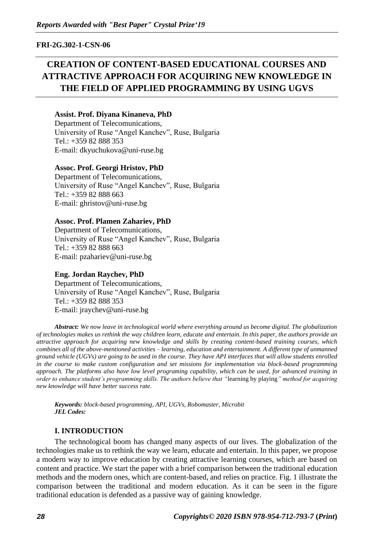**FRI-2G.302-1-CSN-06**

# **CREATION OF CONTENT-BASED EDUCATIONAL COURSES AND ATTRACTIVE APPROACH FOR ACQUIRING NEW KNOWLEDGE IN THE FIELD OF APPLIED PROGRAMMING BY USING UGVS**

# **Assist. Prof. Diyana Kinaneva, PhD**

Department of Telecomunications, University of Ruse "Angel Kanchev", Ruse, Bulgaria Tel.: +359 82 888 353 E-mail: dkyuchukova@uni-ruse.bg

## **Assoc. Prof. Georgi Hristov, PhD**

Department of Telecomunications, University of Ruse "Angel Kanchev", Ruse, Bulgaria Tel.: +359 82 888 663 E-mail: ghristov@uni-ruse.bg

## **Assoc. Prof. Plamen Zahariev, PhD**

Department of Telecomunications, University of Ruse "Angel Kanchev", Ruse, Bulgaria Tel.: +359 82 888 663 E-mail: pzahariev@uni-ruse.bg

# **Eng. Jordan Raychev, PhD**

Department of Telecomunications, University of Ruse "Angel Kanchev", Ruse, Bulgaria Tel.: +359 82 888 353 E-mail: jraychev@uni-ruse.bg

*Abstract: We now leave in technological world where everything around us become digital. The globalization of technologies makes us rethink the way children learn, educate and entertain. In this paper, the authors provide an attractive approach for acquiring new knowledge and skills by creating content-based training courses, which combines all of the above-mentioned activities – learning, education and entertainment. A different type of unmanned ground vehicle (UGVs) are going to be used in the course. They have API interfaces that will allow students enrolled in the course to make custom configuration and set missions for implementation via block-based programming approach. The platforms also have low level programing capability, which can be used, for advanced training in order to enhance student's programming skills. The authors believe that "*learning by playing*" method for acquiring new knowledge will have better success rate.*

*Keywords: block-based programming, API, UGVs, Robomaster, Microbit JEL Codes:* 

## **I. INTRODUCTION**

The technological boom has changed many aspects of our lives. The globalization of the technologies make us to rethink the way we learn, educate and entertain. In this paper, we propose a modern way to improve education by creating attractive learning courses, which are based on content and practice. We start the paper with a brief comparison between the traditional education methods and the modern ones, which are content-based, and relies on practice. Fig. 1 illustrate the comparison between the traditional and modern education. As it can be seen in the figure traditional education is defended as a passive way of gaining knowledge.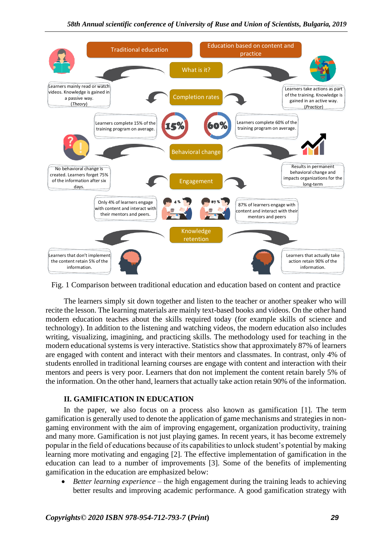

Fig. 1 Comparison between traditional education and education based on content and practice

The learners simply sit down together and listen to the teacher or another speaker who will recite the lesson. The learning materials are mainly text-based books and videos. On the other hand modern education teaches about the skills required today (for example skills of science and technology). In addition to the listening and watching videos, the modern education also includes writing, visualizing, imagining, and practicing skills. The methodology used for teaching in the modern educational systems is very interactive. Statistics show that approximately 87% of learners are engaged with content and interact with their mentors and classmates. In contrast, only 4% of students enrolled in traditional learning courses are engage with content and interaction with their mentors and peers is very poor. Learners that don not implement the content retain barely 5% of the information. On the other hand, learners that actually take action retain 90% of the information.

# **II. GAMIFICATION IN EDUCATION**

In the paper, we also focus on a process also known as gamification [1]. The term gamification is generally used to denote the application of game mechanisms and strategies in nongaming environment with the aim of improving engagement, organization productivity, training and many more. Gamification is not just playing games. In recent years, it has become extremely popular in the field of educations because of its capabilities to unlock student's potential by making learning more motivating and engaging [2]. The effective implementation of gamification in the education can lead to a number of improvements [3]. Some of the benefits of implementing gamification in the education are emphasized below:

• *Better learning experience* – the high engagement during the training leads to achieving better results and improving academic performance. A good gamification strategy with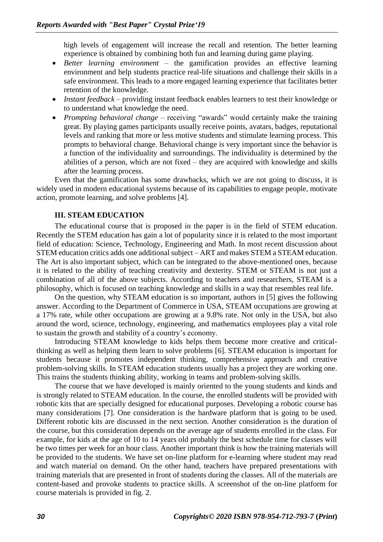high levels of engagement will increase the recall and retention. The better learning experience is obtained by combining both fun and learning during game playing.

- *Better learning environment*  the gamification provides an effective learning environment and help students practice real-life situations and challenge their skills in a safe environment. This leads to a more engaged learning experience that facilitates better retention of the knowledge.
- *Instant feedback*  providing instant feedback enables learners to test their knowledge or to understand what knowledge the need.
- *Prompting behavioral change* receiving "awards" would certainly make the training great. By playing games participants usually receive points, avatars, badges, reputational levels and ranking that more or less motive students and stimulate learning process. This prompts to behavioral change. Behavioral change is very important since the behavior is a function of the individuality and surroundings. The individuality is determined by the abilities of a person, which are not fixed – they are acquired with knowledge and skills after the learning process.

Even that the gamification has some drawbacks, which we are not going to discuss, it is widely used in modern educational systems because of its capabilities to engage people, motivate action, promote learning, and solve problems [4].

## **III. STEAM EDUCATION**

The educational course that is proposed in the paper is in the field of STEM education. Recently the STEM education has gain a lot of popularity since it is related to the most important field of education: Science, Technology, Engineering and Math. In most recent discussion about STEM education critics adds one additional subject – ART and makes STEM a STEAM education. The Art is also important subject, which can be integrated to the above-mentioned ones, because it is related to the ability of teaching creativity and dexterity. STEM or STEAM is not just a combination of all of the above subjects. According to teachers and researchers, STEAM is a philosophy, which is focused on teaching knowledge and skills in a way that resembles real life.

On the question, why STEAM education is so important, authors in [5] gives the following answer. According to the Department of Commerce in USA, STEAM occupations are growing at a 17% rate, while other occupations are growing at a 9.8% rate. Not only in the USA, but also around the word, science, technology, engineering, and mathematics employees play a vital role to sustain the growth and stability of a country's economy.

Introducing STEAM knowledge to kids helps them become more creative and criticalthinking as well as helping them learn to solve problems [6]. STEAM education is important for students because it promotes independent thinking, comprehensive approach and creative problem-solving skills. In STEAM education students usually has a project they are working one. This trains the students thinking ability, working in teams and problem-solving skills.

The course that we have developed is mainly oriented to the young students and kinds and is strongly related to STEAM education. In the course, the enrolled students will be provided with robotic kits that are specially designed for educational purposes. Developing a robotic course has many considerations [7]. One consideration is the hardware platform that is going to be used. Different robotic kits are discussed in the next section. Another consideration is the duration of the course, but this consideration depends on the average age of students enrolled in the class. For example, for kids at the age of 10 to 14 years old probably the best schedule time for classes will be two times per week for an hour class. Another important think is how the training materials will be provided to the students. We have set on-line platform for e-learning where student may read and watch material on demand. On the other hand, teachers have prepared presentations with training materials that are presented in front of students during the classes. All of the materials are content-based and provoke students to practice skills. A screenshot of the on-line platform for course materials is provided in fig. 2.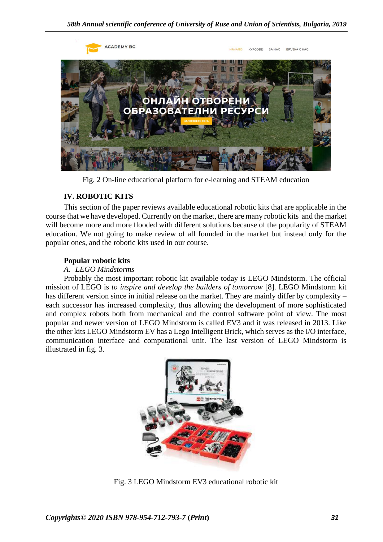

Fig. 2 On-line educational platform for e-learning and STEAM education

# **IV. ROBOTIC KITS**

This section of the paper reviews available educational robotic kits that are applicable in the course that we have developed. Currently on the market, there are many robotic kits and the market will become more and more flooded with different solutions because of the popularity of STEAM education. We not going to make review of all founded in the market but instead only for the popular ones, and the robotic kits used in our course.

# **Popular robotic kits**

# *A. LEGO Mindstorms*

Probably the most important robotic kit available today is LEGO Mindstorm. The official mission of LEGO is *to inspire and develop the builders of tomorrow* [8]. LEGO Mindstorm kit has different version since in initial release on the market. They are mainly differ by complexity – each successor has increased complexity, thus allowing the development of more sophisticated and complex robots both from mechanical and the control software point of view. The most popular and newer version of LEGO Mindstorm is called EV3 and it was released in 2013. Like the other kits LEGO Mindstorm EV has a Lego Intelligent Brick, which serves as the I/O interface, communication interface and computational unit. The last version of LEGO Mindstorm is illustrated in fig. 3.



Fig. 3 LEGO Mindstorm EV3 educational robotic kit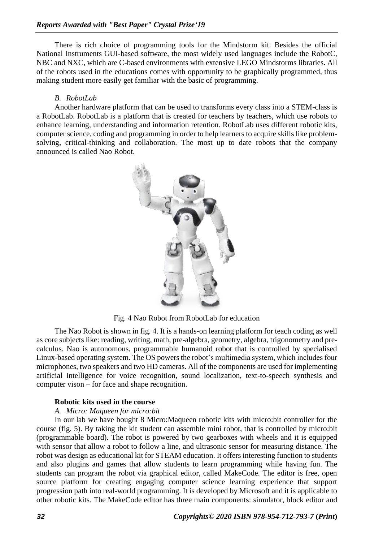There is rich choice of programming tools for the Mindstorm kit. Besides the official National Instruments GUI-based software, the most widely used languages include the RobotC, NBC and NXC, which are C-based environments with extensive LEGO Mindstorms libraries. All of the robots used in the educations comes with opportunity to be graphically programmed, thus making student more easily get familiar with the basic of programming.

#### *B. RobotLab*

Another hardware platform that can be used to transforms every class into a STEM-class is a RobotLab. RobotLab is a platform that is created for teachers by teachers, which use robots to enhance learning, understanding and information retention. RobotLab uses different robotic kits, computer science, coding and programming in order to help learners to acquire skills like problemsolving, critical-thinking and collaboration. The most up to date robots that the company announced is called Nao Robot.



Fig. 4 Nao Robot from RobotLab for education

The Nao Robot is shown in fig. 4. It is a hands-on learning platform for teach coding as well as core subjects like: reading, writing, math, pre-algebra, geometry, algebra, trigonometry and precalculus. Nao is autonomous, programmable humanoid robot that is controlled by specialised Linux-based operating system. The OS powers the robot's multimedia system, which includes four microphones, two speakers and two HD cameras. All of the components are used for implementing artificial intelligence for voice recognition, sound localization, text-to-speech synthesis and computer vison – for face and shape recognition.

#### **Robotic kits used in the course**

## *A. Micro: Maqueen for micro:bit*

In our lab we have bought 8 Micro:Maqueen robotic kits with micro:bit controller for the course (fig. 5). By taking the kit student can assemble mini robot, that is controlled by micro:bit (programmable board). The robot is powered by two gearboxes with wheels and it is equipped with sensor that allow a robot to follow a line, and ultrasonic sensor for measuring distance. The robot was design as educational kit for STEAM education. It offers interesting function to students and also plugins and games that allow students to learn programming while having fun. The students can program the robot via graphical editor, called MakeCode. The editor is free, open source platform for creating engaging computer science learning experience that support progression path into real-world programming. It is developed by Microsoft and it is applicable to other robotic kits. The MakeCode editor has three main components: simulator, block editor and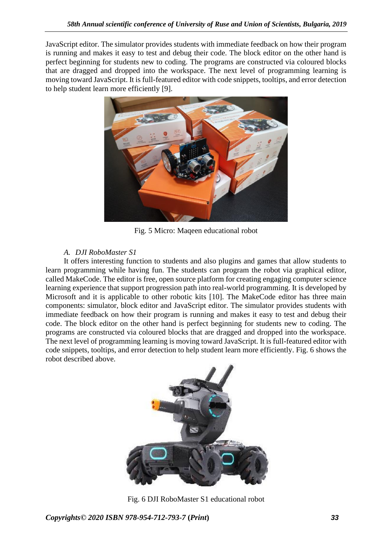JavaScript editor. The simulator provides students with immediate feedback on how their program is running and makes it easy to test and debug their code. The block editor on the other hand is perfect beginning for students new to coding. The programs are constructed via coloured blocks that are dragged and dropped into the workspace. The next level of programming learning is moving toward JavaScript. It is full-featured editor with code snippets, tooltips, and error detection to help student learn more efficiently [9].



Fig. 5 Micro: Maqeen educational robot

# *A. DJI RoboMaster S1*

It offers interesting function to students and also plugins and games that allow students to learn programming while having fun. The students can program the robot via graphical editor, called MakeCode. The editor is free, open source platform for creating engaging computer science learning experience that support progression path into real-world programming. It is developed by Microsoft and it is applicable to other robotic kits [10]. The MakeCode editor has three main components: simulator, block editor and JavaScript editor. The simulator provides students with immediate feedback on how their program is running and makes it easy to test and debug their code. The block editor on the other hand is perfect beginning for students new to coding. The programs are constructed via coloured blocks that are dragged and dropped into the workspace. The next level of programming learning is moving toward JavaScript. It is full-featured editor with code snippets, tooltips, and error detection to help student learn more efficiently. Fig. 6 shows the robot described above.



Fig. 6 DJI RoboMaster S1 educational robot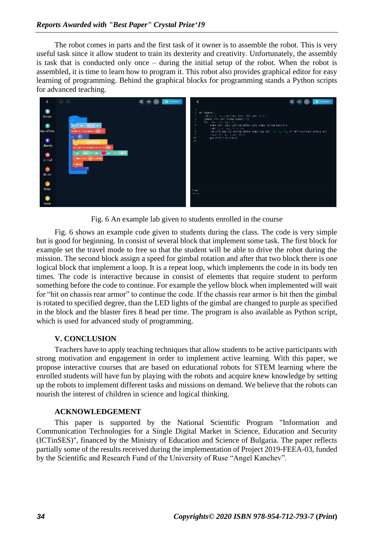The robot comes in parts and the first task of it owner is to assemble the robot. This is very useful task since it allow student to train its dexterity and creativity. Unfortunately, the assembly is task that is conducted only once – during the initial setup of the robot. When the robot is assembled, it is time to learn how to program it. This robot also provides graphical editor for easy learning of programming. Behind the graphical blocks for programming stands a Python scripts for advanced teaching.



Fig. 6 An example lab given to students enrolled in the course

Fig. 6 shows an example code given to students during the class. The code is very simple but is good for beginning. In consist of several block that implement some task. The first block for example set the travel mode to free so that the student will be able to drive the robot during the mission. The second block assign a speed for gimbal rotation and after that two block there is one logical block that implement a loop. It is a repeat loop, which implements the code in its body ten times. The code is interactive because in consist of elements that require student to perform something before the code to continue. For example the yellow block when implemented will wait for "hit on chassis rear armor" to continue the code. If the chassis rear armor is hit then the gimbal is rotated to specified degree, than the LED lights of the gimbal are changed to purple as specified in the block and the blaster fires 8 bead per time. The program is also available as Python script, which is used for advanced study of programming.

## **V. CONCLUSION**

Teachers have to apply teaching techniques that allow students to be active participants with strong motivation and engagement in order to implement active learning. With this paper, we propose interactive courses that are based on educational robots for STEM learning where the enrolled students will have fun by playing with the robots and acquire knew knowledge by setting up the robots to implement different tasks and missions on demand. We believe that the robots can nourish the interest of children in science and logical thinking.

#### **ACKNOWLEDGEMENT**

This paper is supported by the National Scientific Program "Information and Communication Technologies for a Single Digital Market in Science, Education and Security (ICTinSES)", financed by the Ministry of Education and Science of Bulgaria. The paper reflects partially some of the results received during the implementation of Project 2019-FEEA-03, funded by the Scientific and Research Fund of the University of Ruse "Angel Kanchev".